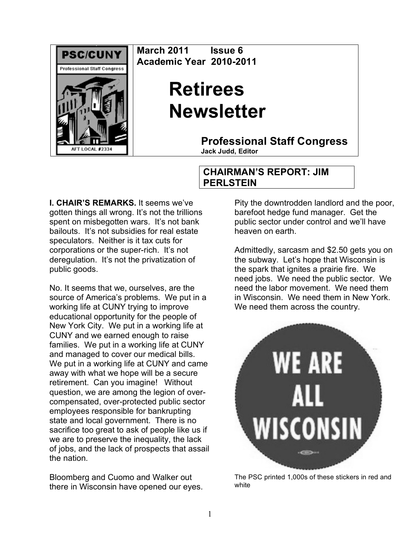

**March 2011 Issue 6 Academic Year 2010-2011**

# **Retirees Newsletter**

**Professional Staff Congress**

**Jack Judd, Editor**

#### **I. CHAIR'S REMARKS.** It seems we've gotten things all wrong. It's not the trillions spent on misbegotten wars. It's not bank bailouts. It's not subsidies for real estate speculators. Neither is it tax cuts for corporations or the super-rich. It's not deregulation. It's not the privatization of public goods.

No. It seems that we, ourselves, are the source of America's problems. We put in a working life at CUNY trying to improve educational opportunity for the people of New York City. We put in a working life at CUNY and we earned enough to raise families. We put in a working life at CUNY and managed to cover our medical bills. We put in a working life at CUNY and came away with what we hope will be a secure retirement. Can you imagine! Without question, we are among the legion of overcompensated, over-protected public sector employees responsible for bankrupting state and local government. There is no sacrifice too great to ask of people like us if we are to preserve the inequality, the lack of jobs, and the lack of prospects that assail the nation.

Bloomberg and Cuomo and Walker out there in Wisconsin have opened our eyes.

## **CHAIRMAN'S REPORT: JIM PERLSTEIN**

Pity the downtrodden landlord and the poor, barefoot hedge fund manager. Get the public sector under control and we'll have heaven on earth.

Admittedly, sarcasm and \$2.50 gets you on the subway. Let's hope that Wisconsin is the spark that ignites a prairie fire. We need jobs. We need the public sector. We need the labor movement. We need them in Wisconsin. We need them in New York. We need them across the country.



The PSC printed 1,000s of these stickers in red and white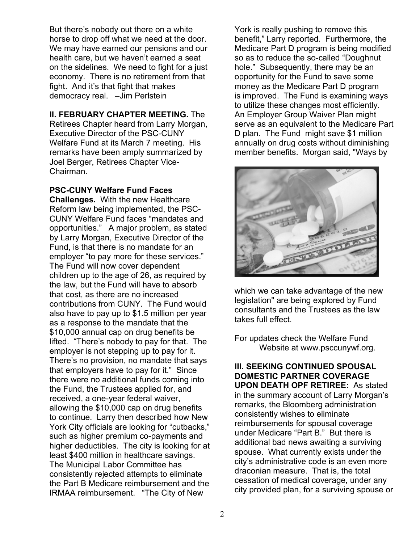But there's nobody out there on a white horse to drop off what we need at the door. We may have earned our pensions and our health care, but we haven't earned a seat on the sidelines. We need to fight for a just economy. There is no retirement from that fight. And it's that fight that makes democracy real. –Jim Perlstein

## **II. FEBRUARY CHAPTER MEETING.** The

Retirees Chapter heard from Larry Morgan, Executive Director of the PSC-CUNY Welfare Fund at its March 7 meeting. His remarks have been amply summarized by Joel Berger, Retirees Chapter Vice-Chairman.

### **PSC-CUNY Welfare Fund Faces**

**Challenges.** With the new Healthcare Reform law being implemented, the PSC-CUNY Welfare Fund faces "mandates and opportunities." A major problem, as stated by Larry Morgan, Executive Director of the Fund, is that there is no mandate for an employer "to pay more for these services." The Fund will now cover dependent children up to the age of 26, as required by the law, but the Fund will have to absorb that cost, as there are no increased contributions from CUNY. The Fund would also have to pay up to \$1.5 million per year as a response to the mandate that the \$10,000 annual cap on drug benefits be lifted. "There's nobody to pay for that. The employer is not stepping up to pay for it. There's no provision, no mandate that says that employers have to pay for it." Since there were no additional funds coming into the Fund, the Trustees applied for, and received, a one-year federal waiver, allowing the \$10,000 cap on drug benefits to continue. Larry then described how New York City officials are looking for "cutbacks," such as higher premium co-payments and higher deductibles. The city is looking for at least \$400 million in healthcare savings. The Municipal Labor Committee has consistently rejected attempts to eliminate the Part B Medicare reimbursement and the IRMAA reimbursement. "The City of New

York is really pushing to remove this benefit," Larry reported. Furthermore, the Medicare Part D program is being modified so as to reduce the so-called "Doughnut hole." Subsequently, there may be an opportunity for the Fund to save some money as the Medicare Part D program is improved. The Fund is examining ways to utilize these changes most efficiently. An Employer Group Waiver Plan might serve as an equivalent to the Medicare Part D plan. The Fund might save \$1 million annually on drug costs without diminishing member benefits. Morgan said, "Ways by



which we can take advantage of the new legislation" are being explored by Fund consultants and the Trustees as the law takes full effect.

For updates check the Welfare Fund Website at www.psccunywf.org.

**III. SEEKING CONTINUED SPOUSAL DOMESTIC PARTNER COVERAGE UPON DEATH OPF RETIREE:** As stated in the summary account of Larry Morgan's remarks, the Bloomberg administration consistently wishes to eliminate reimbursements for spousal coverage under Medicare "Part B." But there is additional bad news awaiting a surviving spouse. What currently exists under the city's administrative code is an even more draconian measure. That is, the total cessation of medical coverage, under any city provided plan, for a surviving spouse or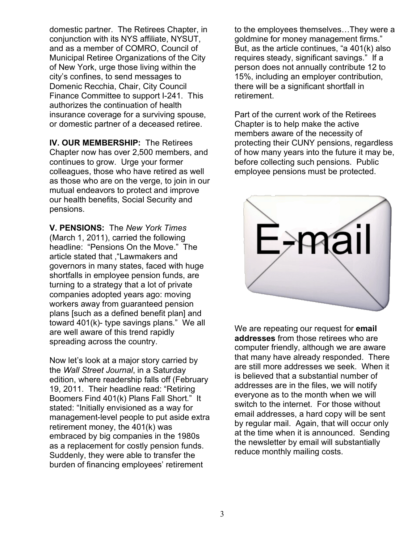domestic partner. The Retirees Chapter, in conjunction with its NYS affiliate, NYSUT, and as a member of COMRO, Council of Municipal Retiree Organizations of the City of New York, urge those living within the city's confines, to send messages to Domenic Recchia, Chair, City Council Finance Committee to support I-241. This authorizes the continuation of health insurance coverage for a surviving spouse, or domestic partner of a deceased retiree.

**IV. OUR MEMBERSHIP:** The Retirees Chapter now has over 2,500 members, and continues to grow. Urge your former colleagues, those who have retired as well as those who are on the verge, to join in our mutual endeavors to protect and improve our health benefits, Social Security and pensions.

**V. PENSIONS:** The *New York Times* (March 1, 2011), carried the following headline: "Pensions On the Move." The article stated that ,"Lawmakers and governors in many states, faced with huge shortfalls in employee pension funds, are turning to a strategy that a lot of private companies adopted years ago: moving workers away from guaranteed pension plans [such as a defined benefit plan] and toward 401(k)- type savings plans." We all are well aware of this trend rapidly spreading across the country.

Now let's look at a major story carried by the *Wall Street Journal*, in a Saturday edition, where readership falls off (February 19, 2011. Their headline read: "Retiring Boomers Find 401(k) Plans Fall Short." It stated: "Initially envisioned as a way for management-level people to put aside extra retirement money, the 401(k) was embraced by big companies in the 1980s as a replacement for costly pension funds. Suddenly, they were able to transfer the burden of financing employees' retirement

to the employees themselves…They were a goldmine for money management firms." But, as the article continues, "a 401(k) also requires steady, significant savings." If a person does not annually contribute 12 to 15%, including an employer contribution, there will be a significant shortfall in retirement.

Part of the current work of the Retirees Chapter is to help make the active members aware of the necessity of protecting their CUNY pensions, regardless of how many years into the future it may be, before collecting such pensions. Public employee pensions must be protected.



We are repeating our request for **email addresses** from those retirees who are computer friendly, although we are aware that many have already responded. There are still more addresses we seek. When it is believed that a substantial number of addresses are in the files, we will notify everyone as to the month when we will switch to the internet. For those without email addresses, a hard copy will be sent by regular mail. Again, that will occur only at the time when it is announced. Sending the newsletter by email will substantially reduce monthly mailing costs.